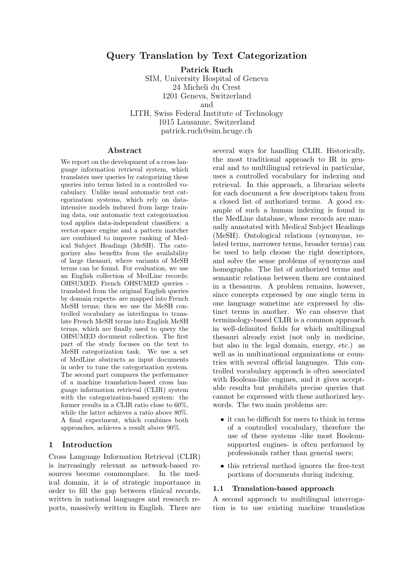# Query Translation by Text Categorization

Patrick Ruch

SIM, University Hospital of Geneva 24 Micheli du Crest 1201 Geneva, Switzerland and LITH, Swiss Federal Institute of Technology 1015 Lausanne, Switzerland

patrick.ruch@sim.hcuge.ch

#### Abstract

We report on the development of a cross language information retrieval system, which translates user queries by categorizing these queries into terms listed in a controlled vocabulary. Unlike usual automatic text categorization systems, which rely on dataintensive models induced from large training data, our automatic text categorization tool applies data-independent classifiers: a vector-space engine and a pattern matcher are combined to improve ranking of Medical Subject Headings (MeSH). The categorizer also benefits from the availability of large thesauri, where variants of MeSH terms can be found. For evaluation, we use an English collection of MedLine records: OHSUMED. French OHSUMED queries translated from the original English queries by domain experts- are mapped into French MeSH terms; then we use the MeSH controlled vocabulary as interlingua to translate French MeSH terms into English MeSH terms, which are finally used to query the OHSUMED document collection. The first part of the study focuses on the text to MeSH categorization task. We use a set of MedLine abstracts as input documents in order to tune the categorization system. The second part compares the performance of a machine translation-based cross language information retrieval (CLIR) system with the categorization-based system: the former results in a CLIR ratio close to 60%, while the latter achieves a ratio above 80%. A final experiment, which combines both approaches, achieves a result above 90%.

#### 1 Introduction

Cross Language Information Retrieval (CLIR) is increasingly relevant as network-based resources become commonplace. In the medical domain, it is of strategic importance in order to fill the gap between clinical records, written in national languages and research reports, massively written in English. There are several ways for handling CLIR. Historically, the most traditional approach to IR in general and to multilingual retrieval in particular, uses a controlled vocabulary for indexing and retrieval. In this approach, a librarian selects for each document a few descriptors taken from a closed list of authorized terms. A good example of such a human indexing is found in the MedLine database, whose records are manually annotated with Medical Subject Headings (MeSH). Ontological relations (synonyms, related terms, narrower terms, broader terms) can be used to help choose the right descriptors, and solve the sense problems of synonyms and homographs. The list of authorized terms and semantic relations between them are contained in a thesaurus. A problem remains, however, since concepts expressed by one single term in one language sometime are expressed by distinct terms in another. We can observe that terminology-based CLIR is a common approach in well-delimited fields for which multilingual thesauri already exist (not only in medicine, but also in the legal domain, energy, etc.) as well as in multinational organizations or countries with several official languages. This controlled vocabulary approach is often associated with Boolean-like engines, and it gives acceptable results but prohibits precise queries that cannot be expressed with these authorized keywords. The two main problems are:

- it can be difficult for users to think in terms of a controlled vocabulary, therefore the use of these systems -like most Booleansupported engines- is often performed by professionals rather than general users;
- this retrieval method ignores the free-text portions of documents during indexing.

#### 1.1 Translation-based approach

A second approach to multilingual interrogation is to use existing machine translation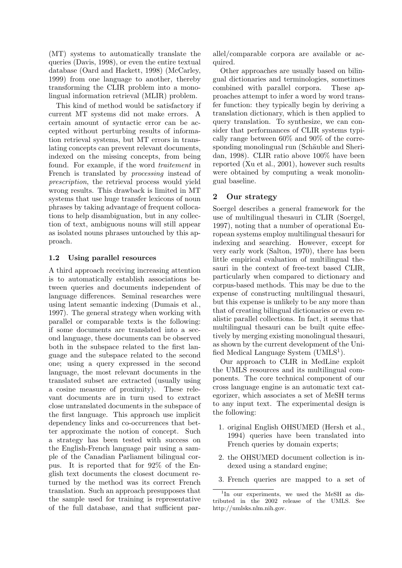(MT) systems to automatically translate the queries (Davis, 1998), or even the entire textual database (Oard and Hackett, 1998) (McCarley, 1999) from one language to another, thereby transforming the CLIR problem into a monolingual information retrieval (MLIR) problem.

This kind of method would be satisfactory if current MT systems did not make errors. A certain amount of syntactic error can be accepted without perturbing results of information retrieval systems, but MT errors in translating concepts can prevent relevant documents, indexed on the missing concepts, from being found. For example, if the word traitement in French is translated by processing instead of prescription, the retrieval process would yield wrong results. This drawback is limited in MT systems that use huge transfer lexicons of noun phrases by taking advantage of frequent collocations to help disambiguation, but in any collection of text, ambiguous nouns will still appear as isolated nouns phrases untouched by this approach.

## 1.2 Using parallel resources

A third approach receiving increasing attention is to automatically establish associations between queries and documents independent of language differences. Seminal researches were using latent semantic indexing (Dumais et al., 1997). The general strategy when working with parallel or comparable texts is the following: if some documents are translated into a second language, these documents can be observed both in the subspace related to the first language and the subspace related to the second one; using a query expressed in the second language, the most relevant documents in the translated subset are extracted (usually using a cosine measure of proximity). These relevant documents are in turn used to extract close untranslated documents in the subspace of the first language. This approach use implicit dependency links and co-occurrences that better approximate the notion of concept. Such a strategy has been tested with success on the English-French language pair using a sample of the Canadian Parliament bilingual corpus. It is reported that for 92% of the English text documents the closest document returned by the method was its correct French translation. Such an approach presupposes that the sample used for training is representative of the full database, and that sufficient par-

allel/comparable corpora are available or acquired.

Other approaches are usually based on bilingual dictionaries and terminologies, sometimes combined with parallel corpora. These approaches attempt to infer a word by word transfer function: they typically begin by deriving a translation dictionary, which is then applied to query translation. To synthesize, we can consider that performances of CLIR systems typically range between 60% and 90% of the corresponding monolingual run (Schäuble and Sheridan, 1998). CLIR ratio above 100% have been reported (Xu et al., 2001), however such results were obtained by computing a weak monolingual baseline.

## 2 Our strategy

Soergel describes a general framework for the use of multilingual thesauri in CLIR (Soergel, 1997), noting that a number of operational European systems employ multilingual thesauri for indexing and searching. However, except for very early work (Salton, 1970), there has been little empirical evaluation of multilingual thesauri in the context of free-text based CLIR, particularly when compared to dictionary and corpus-based methods. This may be due to the expense of constructing multilingual thesauri, but this expense is unlikely to be any more than that of creating bilingual dictionaries or even realistic parallel collections. In fact, it seems that multilingual thesauri can be built quite effectively by merging existing monolingual thesauri, as shown by the current development of the Unified Medical Language System (UMLS<sup>1</sup>).

Our approach to CLIR in MedLine exploit the UMLS resources and its multilingual components. The core technical component of our cross language engine is an automatic text categorizer, which associates a set of MeSH terms to any input text. The experimental design is the following:

- 1. original English OHSUMED (Hersh et al., 1994) queries have been translated into French queries by domain experts;
- 2. the OHSUMED document collection is indexed using a standard engine;
- 3. French queries are mapped to a set of

<sup>&</sup>lt;sup>1</sup>In our experiments, we used the MeSH as distributed in the 2002 release of the UMLS. See http://umlsks.nlm.nih.gov.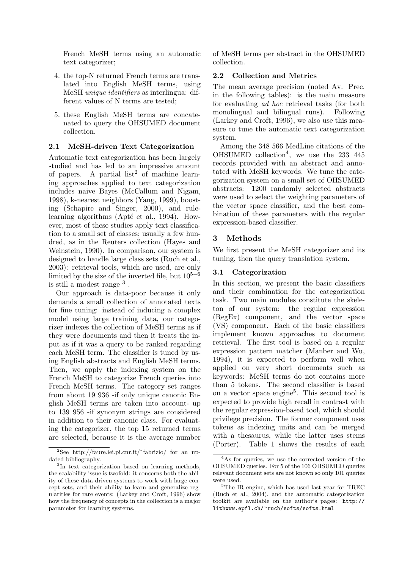French MeSH terms using an automatic text categorizer;

- 4. the top-N returned French terms are translated into English MeSH terms, using MeSH unique identifiers as interlingua: different values of N terms are tested;
- 5. these English MeSH terms are concatenated to query the OHSUMED document collection.

#### 2.1 MeSH-driven Text Categorization

Automatic text categorization has been largely studied and has led to an impressive amount of papers. A partial list<sup>2</sup> of machine learning approaches applied to text categorization includes naive Bayes (McCallum and Nigam, 1998), k-nearest neighbors (Yang, 1999), boosting (Schapire and Singer, 2000), and rulelearning algorithms (Apté et al., 1994). However, most of these studies apply text classification to a small set of classes; usually a few hundred, as in the Reuters collection (Hayes and Weinstein, 1990). In comparison, our system is designed to handle large class sets (Ruch et al., 2003): retrieval tools, which are used, are only limited by the size of the inverted file, but  $10^{5-6}$ is still a modest range  $3$ .

Our approach is data-poor because it only demands a small collection of annotated texts for fine tuning: instead of inducing a complex model using large training data, our categorizer indexes the collection of MeSH terms as if they were documents and then it treats the input as if it was a query to be ranked regarding each MeSH term. The classifier is tuned by using English abstracts and English MeSH terms. Then, we apply the indexing system on the French MeSH to categorize French queries into French MeSH terms. The category set ranges from about 19 936 -if only unique canonic English MeSH terms are taken into account- up to 139 956 -if synonym strings are considered in addition to their canonic class. For evaluating the categorizer, the top 15 returned terms are selected, because it is the average number of MeSH terms per abstract in the OHSUMED collection.

## 2.2 Collection and Metrics

The mean average precision (noted Av. Prec. in the following tables): is the main measure for evaluating ad hoc retrieval tasks (for both monolingual and bilingual runs). Following (Larkey and Croft, 1996), we also use this measure to tune the automatic text categorization system.

Among the 348 566 MedLine citations of the OHSUMED collection<sup>4</sup> , we use the 233 445 records provided with an abstract and annotated with MeSH keywords. We tune the categorization system on a small set of OHSUMED abstracts: 1200 randomly selected abstracts were used to select the weighting parameters of the vector space classifier, and the best combination of these parameters with the regular expression-based classifier.

## 3 Methods

We first present the MeSH categorizer and its tuning, then the query translation system.

## 3.1 Categorization

In this section, we present the basic classifiers and their combination for the categorization task. Two main modules constitute the skeleton of our system: the regular expression (RegEx) component, and the vector space (VS) component. Each of the basic classifiers implement known approaches to document retrieval. The first tool is based on a regular expression pattern matcher (Manber and Wu, 1994), it is expected to perform well when applied on very short documents such as keywords: MeSH terms do not contains more than 5 tokens. The second classifier is based on a vector space engine<sup>5</sup>. This second tool is expected to provide high recall in contrast with the regular expression-based tool, which should privilege precision. The former component uses tokens as indexing units and can be merged with a thesaurus, while the latter uses stems (Porter). Table 1 shows the results of each

<sup>&</sup>lt;sup>2</sup>See http://faure.iei.pi.cnr.it/ $\tilde{\ }$ fabrizio/ for an updated bibliography.

<sup>&</sup>lt;sup>3</sup>In text categorization based on learning methods, the scalability issue is twofold: it concerns both the ability of these data-driven systems to work with large concept sets, and their ability to learn and generalize regularities for rare events: (Larkey and Croft, 1996) show how the frequency of concepts in the collection is a major parameter for learning systems.

<sup>4</sup>As for queries, we use the corrected version of the OHSUMED queries. For 5 of the 106 OHSUMED queries relevant document sets are not known so only 101 queries were used.

<sup>&</sup>lt;sup>5</sup>The IR engine, which has used last year for TREC (Ruch et al., 2004), and the automatic categorization toolkit are available on the author's pages: http:// lithwww.epfl.ch/∼ruch/softs/softs.html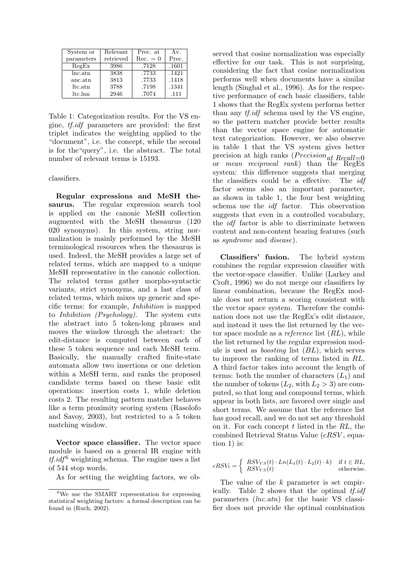| System or         | Relevant  | Prec. at   | Av.   |
|-------------------|-----------|------------|-------|
| parameters        | retrieved | $Rec. = 0$ | Prec. |
| RegEx             | 3986      | .7128      | .1601 |
| $lnc$ .atn        | 3838      | .7733      | .1421 |
| anc.atn           | 3813      | .7733      | .1418 |
| $_{\rm ltc. atn}$ | 3788      | .7198      | .1341 |
| ltc.lnn           | 2946      | .7074      | .111  |

Table 1: Categorization results. For the VS engine, tf.idf parameters are provided: the first triplet indicates the weighting applied to the "document", i.e. the concept, while the second is for the"query", i.e. the abstract. The total number of relevant terms is 15193.

classifiers.

Regular expressions and MeSH thesaurus. The regular expression search tool is applied on the canonic MeSH collection augmented with the MeSH thesaurus (120 020 synonyms). In this system, string normalization is mainly performed by the MeSH terminological resources when the thesaurus is used. Indeed, the MeSH provides a large set of related terms, which are mapped to a unique MeSH representative in the canonic collection. The related terms gather morpho-syntactic variants, strict synonyms, and a last class of related terms, which mixes up generic and specific terms: for example, Inhibition is mapped to Inhibition (Psychology). The system cuts the abstract into 5 token-long phrases and moves the window through the abstract: the edit-distance is computed between each of these 5 token sequence and each MeSH term. Basically, the manually crafted finite-state automata allow two insertions or one deletion within a MeSH term, and ranks the proposed candidate terms based on these basic edit operations: insertion costs 1, while deletion costs 2. The resulting pattern matcher behaves like a term proximity scoring system (Rasolofo and Savoy, 2003), but restricted to a 5 token matching window.

Vector space classifier. The vector space module is based on a general IR engine with  $t\ddot{i}.i d f^6$  weighting schema. The engine uses a list of 544 stop words.

As for setting the weighting factors, we ob-

served that cosine normalization was especially effective for our task. This is not surprising, considering the fact that cosine normalization performs well when documents have a similar length (Singhal et al., 1996). As for the respective performance of each basic classifiers, table 1 shows that the RegEx system performs better than any *tf.idf* schema used by the VS engine, so the pattern matcher provide better results than the vector space engine for automatic text categorization. However, we also observe in table 1 that the VS system gives better precision at high ranks  $(Precision_{at} Recall=0$ <br>or *mean reciprocal rank*) than the RegEx  $mean$  reciprocal rank) than the  $RegEx$ system: this difference suggests that merging the classifiers could be a effective. The *idf* factor seems also an important parameter, as shown in table 1, the four best weighting schema use the idf factor. This observation suggests that even in a controlled vocabulary, the idf factor is able to discriminate between content and non-content bearing features (such as syndrome and disease).

Classifiers' fusion. The hybrid system combines the regular expression classifier with the vector-space classifier. Unlike (Larkey and Croft, 1996) we do not merge our classifiers by linear combination, because the RegEx module does not return a scoring consistent with the vector space system. Therefore the combination does not use the RegEx's edit distance, and instead it uses the list returned by the vector space module as a *reference* list  $(RL)$ , while the list returned by the regular expression module is used as *boosting* list  $(BL)$ , which serves to improve the ranking of terms listed in RL. A third factor takes into account the length of terms: both the number of characters  $(L_1)$  and the number of tokens  $(L_2, \text{ with } L_2 > 3)$  are computed, so that long and compound terms, which appear in both lists, are favored over single and short terms. We assume that the reference list has good recall, and we do not set any threshold on it. For each concept  $t$  listed in the  $RL$ , the combined Retrieval Status Value (cRSV , equation 1) is:

$$
cRSV_t = \begin{cases} RSV_{VS}(t) \cdot Ln(L_1(t) \cdot L_2(t) \cdot k) & \text{if } t \in BL, \\ RSV_{VS}(t) & \text{otherwise.} \end{cases}
$$

The value of the k parameter is set empirically. Table 2 shows that the optimal tf.idf parameters (lnc.atn) for the basic VS classifier does not provide the optimal combination

<sup>&</sup>lt;sup>6</sup>We use the SMART representation for expressing statistical weighting factors: a formal description can be found in (Ruch, 2002).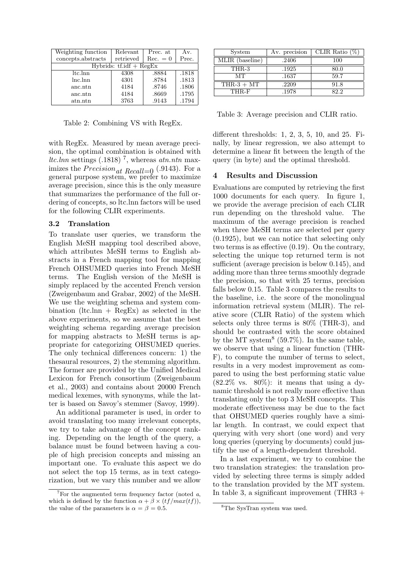| Weighting function        | Relevant  | Prec. at   | Av.   |  |  |
|---------------------------|-----------|------------|-------|--|--|
| concepts.abstracts        | retrieved | $Rec. = 0$ | Prec. |  |  |
| Hybrids: $tf.idf + RegEx$ |           |            |       |  |  |
| ltc.lnn                   | 4308      | .8884      | .1818 |  |  |
| lnc.lnn                   | 4301      | .8784      | .1813 |  |  |
| anc.ntn                   | 4184      | .8746      | .1806 |  |  |
| anc.ntn                   | 4184      | .8669      | .1795 |  |  |
| atn.ntn                   | 3763      | .9143      | .1794 |  |  |

Table 2: Combining VS with RegEx.

with RegEx. Measured by mean average precision, the optimal combination is obtained with ltc.lnn settings  $(.1818)$ <sup>7</sup>, whereas atn.ntn maximizes the  $Precision_{at}$   $Recall=0$  (.9143). For a general purpose system, we prefer to maximize average precision, since this is the only measure that summarizes the performance of the full ordering of concepts, so ltc.lnn factors will be used for the following CLIR experiments.

## 3.2 Translation

To translate user queries, we transform the English MeSH mapping tool described above, which attributes MeSH terms to English abstracts in a French mapping tool for mapping French OHSUMED queries into French MeSH terms. The English version of the MeSH is simply replaced by the accented French version (Zweigenbaum and Grabar, 2002) of the MeSH. We use the weighting schema and system combination (ltc.lnn +  $\text{RegEx}$ ) as selected in the above experiments, so we assume that the best weighting schema regarding average precision for mapping abstracts to MeSH terms is appropriate for categorizing OHSUMED queries. The only technical differences concern: 1) the thesaural resources, 2) the stemming algorithm. The former are provided by the Unified Medical Lexicon for French consortium (Zweigenbaum et al., 2003) and contains about 20000 French medical lexemes, with synonyms, while the latter is based on Savoy's stemmer (Savoy, 1999).

An additional parameter is used, in order to avoid translating too many irrelevant concepts, we try to take advantage of the concept ranking. Depending on the length of the query, a balance must be found between having a couple of high precision concepts and missing an important one. To evaluate this aspect we do not select the top 15 terms, as in text categorization, but we vary this number and we allow

| System          | Av. precision | CLIR Ratio $(\%)$ |
|-----------------|---------------|-------------------|
| MLIR (baseline) | .2406         | 100               |
| THR-3           | .1925         | 80.0              |
| MТ              | .1637         | 59.7              |
| $THR-3 + MT$    | .2209         | 91.8              |
| THR-F           | .1978         | 82.2              |

Table 3: Average precision and CLIR ratio.

different thresholds: 1, 2, 3, 5, 10, and 25. Finally, by linear regression, we also attempt to determine a linear fit between the length of the query (in byte) and the optimal threshold.

#### 4 Results and Discussion

Evaluations are computed by retrieving the first 1000 documents for each query. In figure 1, we provide the average precision of each CLIR run depending on the threshold value. The maximum of the average precision is reached when three MeSH terms are selected per query (0.1925), but we can notice that selecting only two terms is as effective (0.19). On the contrary, selecting the unique top returned term is not sufficient (average precision is below 0.145), and adding more than three terms smoothly degrade the precision, so that with 25 terms, precision falls below 0.15. Table 3 compares the results to the baseline, i.e. the score of the monolingual information retrieval system (MLIR). The relative score (CLIR Ratio) of the system which selects only three terms is 80% (THR-3), and should be contrasted with the score obtained by the MT system<sup>8</sup> (59.7%). In the same table, we observe that using a linear function (THR-F), to compute the number of terms to select, results in a very modest improvement as compared to using the best performing static value  $(82.2\% \text{ vs. } 80\%):$  it means that using a dynamic threshold is not really more effective than translating only the top 3 MeSH concepts. This moderate effectiveness may be due to the fact that OHSUMED queries roughly have a similar length. In contrast, we could expect that querying with very short (one word) and very long queries (querying by documents) could justify the use of a length-dependent threshold.

In a last experiment, we try to combine the two translation strategies: the translation provided by selecting three terms is simply added to the translation provided by the MT system. In table 3, a significant improvement (THR3 +

 $7\,\text{For the augmented term frequency factor (noted } a$ , which is defined by the function  $\alpha + \beta \times (tf/max(tf)),$ the value of the parameters is  $\alpha = \beta = 0.5$ .

 ${}^{8}{\rm The}$  SysTran system was used.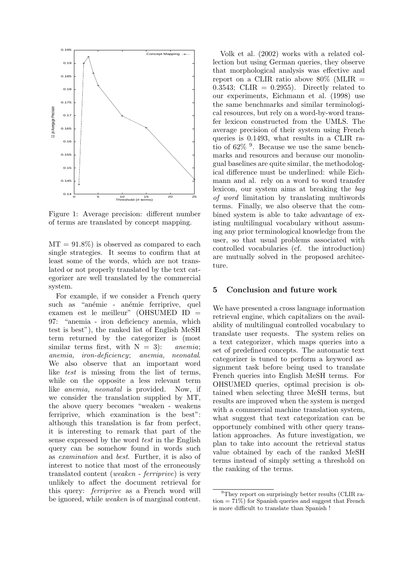

Figure 1: Average precision: different number of terms are translated by concept mapping.

 $MT = 91.8\%$  is observed as compared to each single strategies. It seems to confirm that at least some of the words, which are not translated or not properly translated by the text categorizer are well translated by the commercial system.

For example, if we consider a French query such as "anémie - anémie ferriprive, quel examen est le meilleur" (OHSUMED ID = 97: "anemia - iron deficiency anemia, which test is best"), the ranked list of English MeSH term returned by the categorizer is (most similar terms first, with  $N = 3$ : anemia; anemia, iron-deficiency; anemia, neonatal. We also observe that an important word like test is missing from the list of terms, while on the opposite a less relevant term like anemia, neonatal is provided. Now, if we consider the translation supplied by MT, the above query becomes "weaken - weakens ferriprive, which examination is the best": although this translation is far from perfect, it is interesting to remark that part of the sense expressed by the word test in the English query can be somehow found in words such as examination and best. Further, it is also of interest to notice that most of the erroneously translated content (weaken - ferriprive) is very unlikely to affect the document retrieval for this query: ferriprive as a French word will be ignored, while weaken is of marginal content.

Volk et al. (2002) works with a related collection but using German queries, they observe that morphological analysis was effective and report on a CLIR ratio above  $80\%$  (MLIR =  $0.3543$ ; CLIR =  $0.2955$ ). Directly related to our experiments, Eichmann et al. (1998) use the same benchmarks and similar terminological resources, but rely on a word-by-word transfer lexicon constructed from the UMLS. The average precision of their system using French queries is 0.1493, what results in a CLIR ratio of 62% <sup>9</sup> . Because we use the same benchmarks and resources and because our monolingual baselines are quite similar, the methodological difference must be underlined: while Eichmann and al. rely on a word to word transfer lexicon, our system aims at breaking the bag of word limitation by translating multiwords terms. Finally, we also observe that the combined system is able to take advantage of existing multilingual vocabulary without assuming any prior terminological knowledge from the user, so that usual problems associated with controlled vocabularies (cf. the introduction) are mutually solved in the proposed architecture.

#### 5 Conclusion and future work

We have presented a cross language information retrieval engine, which capitalizes on the availability of multilingual controlled vocabulary to translate user requests. The system relies on a text categorizer, which maps queries into a set of predefined concepts. The automatic text categorizer is tuned to perform a keyword assignment task before being used to translate French queries into English MeSH terms. For OHSUMED queries, optimal precision is obtained when selecting three MeSH terms, but results are improved when the system is merged with a commercial machine translation system, what suggest that text categorization can be opportunely combined with other query translation approaches. As future investigation, we plan to take into account the retrieval status value obtained by each of the ranked MeSH terms instead of simply setting a threshold on the ranking of the terms.

<sup>&</sup>lt;sup>9</sup>They report on surprisingly better results (CLIR ration = 71%) for Spanish queries and suggest that French is more difficult to translate than Spanish !